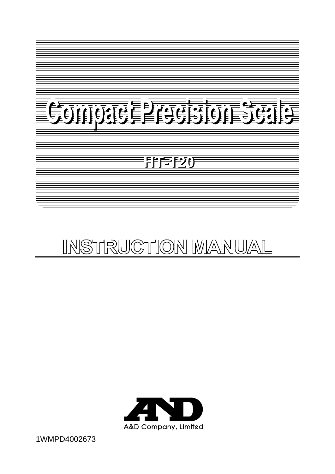

# INSTRUCTION MANUAL



1WMPD4002673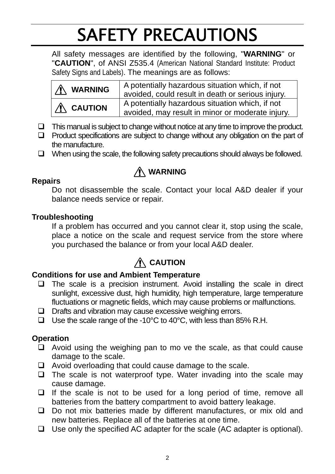# SAFETY PRECAUTIONS

All safety messages are identified by the following, "**WARNING**" or "**CAUTION**", of ANSI Z535.4 (American National Standard Institute: Product Safety Signs and Labels). The meanings are as follows:

| <b>A</b> WARNING    | A potentially hazardous situation which, if not<br>avoided, could result in death or serious injury. |
|---------------------|------------------------------------------------------------------------------------------------------|
| $\bigwedge$ CAUTION | A potentially hazardous situation which, if not<br>avoided, may result in minor or moderate injury.  |

- $\Box$  This manual is subject to change without notice at any time to improve the product.
- $\Box$  Product specifications are subject to change without any obligation on the part of the manufacture.
- $\Box$  When using the scale, the following safety precautions should always be followed.

## **WARNING**

#### **Repairs**

Do not disassemble the scale. Contact your local A&D dealer if your balance needs service or repair.

#### **Troubleshooting**

If a problem has occurred and you cannot clear it, stop using the scale, place a notice on the scale and request service from the store where you purchased the balance or from your local A&D dealer.

## **A** CAUTION

#### **Conditions for use and Ambient Temperature**

- $\Box$  The scale is a precision instrument. Avoid installing the scale in direct sunlight, excessive dust, high humidity, high temperature, large temperature fluctuations or magnetic fields, which may cause problems or malfunctions.
- $\Box$  Drafts and vibration may cause excessive weighing errors.
- □ Use the scale range of the -10 $^{\circ}$ C to 40 $^{\circ}$ C, with less than 85% R.H.

#### **Operation**

- $\Box$  Avoid using the weighing pan to mo ve the scale, as that could cause damage to the scale.
- $\Box$  Avoid overloading that could cause damage to the scale.
- $\Box$  The scale is not waterproof type. Water invading into the scale may cause damage.
- $\Box$  If the scale is not to be used for a long period of time, remove all batteries from the battery compartment to avoid battery leakage.
- $\Box$  Do not mix batteries made by different manufactures, or mix old and new batteries. Replace all of the batteries at one time.
- $\Box$  Use only the specified AC adapter for the scale (AC adapter is optional).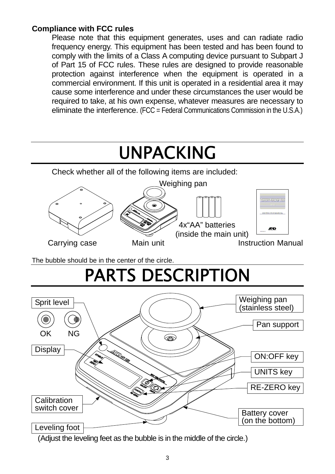#### **Compliance with FCC rules**

Please note that this equipment generates, uses and can radiate radio frequency energy. This equipment has been tested and has been found to comply with the limits of a Class A computing device pursuant to Subpart J of Part 15 of FCC rules. These rules are designed to provide reasonable protection against interference when the equipment is operated in a commercial environment. If this unit is operated in a residential area it may cause some interference and under these circumstances the user would be required to take, at his own expense, whatever measures are necessary to eliminate the interference. (FCC = Federal Communications Commission in the U.S.A.)

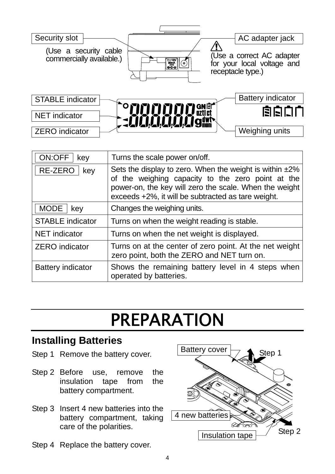

| ON:OFF<br>key            | Turns the scale power on/off.                                                                                                                                                                                                      |
|--------------------------|------------------------------------------------------------------------------------------------------------------------------------------------------------------------------------------------------------------------------------|
| RE-ZERO<br>key           | Sets the display to zero. When the weight is within $\pm 2\%$<br>of the weighing capacity to the zero point at the<br>power-on, the key will zero the scale. When the weight<br>exceeds +2%, it will be subtracted as tare weight. |
| <b>MODE</b><br>key       | Changes the weighing units.                                                                                                                                                                                                        |
| <b>STABLE indicator</b>  | Turns on when the weight reading is stable.                                                                                                                                                                                        |
| <b>NET</b> indicator     | Turns on when the net weight is displayed.                                                                                                                                                                                         |
| <b>ZERO</b> indicator    | Turns on at the center of zero point. At the net weight<br>zero point, both the ZERO and NET turn on.                                                                                                                              |
| <b>Battery indicator</b> | Shows the remaining battery level in 4 steps when<br>operated by batteries.                                                                                                                                                        |

# PREPARATION

## **Installing Batteries**

- Step 1 Remove the battery cover.
- Step 2 Before use, remove the insulation tape from the battery compartment.
- Step 3 Insert 4 new batteries into the battery compartment, taking care of the polarities.
- Step 4 Replace the battery cover.

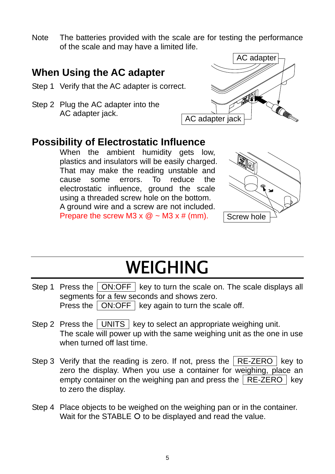Note The batteries provided with the scale are for testing the performance of the scale and may have a limited life.

### **When Using the AC adapter**

- Step 1 Verify that the AC adapter is correct.
- Step 2 Plug the AC adapter into the AC adapter jack.



### **Possibility of Electrostatic Influence**

When the ambient humidity gets low. plastics and insulators will be easily charged. That may make the reading unstable and cause some errors. To reduce the electrostatic influence, ground the scale using a threaded screw hole on the bottom. A ground wire and a screw are not included. Prepare the screw M3  $\times$  @  $\sim$  M3  $\times$  # (mm).



# WEIGHING

- Step 1 Press the ON:OFF key to turn the scale on. The scale displays all segments for a few seconds and shows zero. Press the  $\vert$  ON:OFF  $\vert$  key again to turn the scale off.
- Step 2 Press the UNITS  $\vert$  key to select an appropriate weighing unit. The scale will power up with the same weighing unit as the one in use when turned off last time.
- Step 3 Verify that the reading is zero. If not, press the  $R$  RE-ZERO key to zero the display. When you use a container for weighing, place an empty container on the weighing pan and press the  $R$  RE-ZERO  $R$  key to zero the display.
- Step 4 Place objects to be weighed on the weighing pan or in the container. Wait for the STABLE O to be displayed and read the value.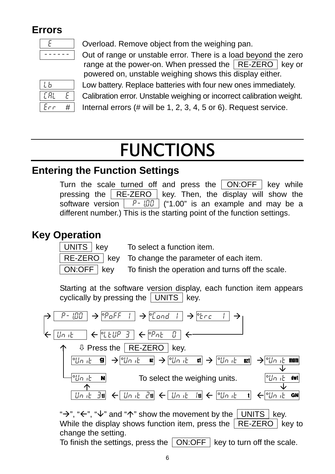## **Errors**

| -<br>-<br>-<br>_<br>_ |  |
|-----------------------|--|

Overload. Remove object from the weighing pan.

Out of range or unstable error. There is a load beyond the zero range at the power-on. When pressed the  $R$ E-ZERO key or powered on, unstable weighing shows this display either.

| h            |  |
|--------------|--|
| E RL         |  |
| Ê<br>е,<br>C |  |

Low battery. Replace batteries with four new ones immediately.

Calibration error. Unstable weighing or incorrect calibration weight.

Internal errors  $(\#$  will be 1, 2, 3, 4, 5 or 6). Request service.

# FUNCTIONS

## **Entering the Function Settings**

Turn the scale turned off and press the  $\boxed{ON:OFF}$  key while pressing the  $R$  RE-ZERO key. Then, the display will show the software version  $\boxed{P - 1.00}$  ("1.00" is an example and may be a different number.) This is the starting point of the function settings.

## **Key Operation**

UNITS key To select a function item.

RE-ZERO key To change the parameter of each item.

ON:OFF  $\vert$  key To finish the operation and turns off the scale.

Starting at the software version display, each function item appears cyclically by pressing the  $\sqrt{\text{UNITS}}$  key.



While the display shows function item, press the  $\sqrt{RE-ZERO}$  key to change the setting.

To finish the settings, press the  $\sqrt{ON:OFF}$  key to turn off the scale.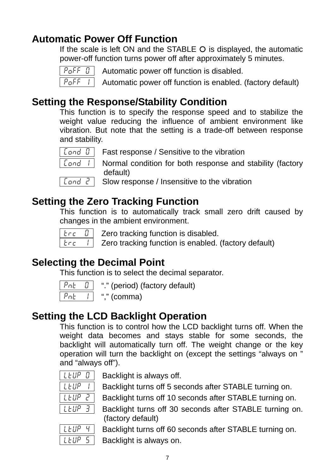## **Automatic Power Off Function**

If the scale is left ON and the STABLE  $O$  is displayed, the automatic power-off function turns power off after approximately 5 minutes.



 $P<sub>0</sub>$ FF  $\theta$  | Automatic power off function is disabled.

 $\overline{P_{\mathsf{G}}F_{\mathsf{F}}$  / Automatic power off function is enabled. (factory default)

## **Setting the Response/Stability Condition**

This function is to specify the response speed and to stabilize the weight value reducing the influence of ambient environment like vibration. But note that the setting is a trade-off between response and stability.



 $\lceil$  Cand  $\lceil$  Fast response / Sensitive to the vibration



 $\lceil$  Cond  $\lceil$  | Normal condition for both response and stability (factory default)

 $\overline{$  Land  $\overline{c}$  Slow response / Insensitive to the vibration

### **Setting the Zero Tracking Function**

This function is to automatically track small zero drift caused by changes in the ambient environment.



 $t \in \mathbb{C}$  | Zero tracking function is disabled.

 $t \in \mathbb{R}$  Zero tracking function is enabled. (factory default)

## **Selecting the Decimal Point**

This function is to select the decimal separator.

| Æ |  |
|---|--|
| r |  |

"." (period) (factory default)

"," (comma)

## **Setting the LCD Backlight Operation**

This function is to control how the LCD backlight turns off. When the weight data becomes and stays stable for some seconds, the backlight will automatically turn off. The weight change or the key operation will turn the backlight on (except the settings "always on " and "always off").

| FUP |  |
|-----|--|
| LUP |  |
| LUP |  |

Backlight is always off.

Backlight turns off 5 seconds after STABLE turning on.

Backlight turns off 10 seconds after STABLE turning on.

 $|$  LEUP 3 | Backlight turns off 30 seconds after STABLE turning on. (factory default)

Backlight turns off 60 seconds after STABLE turning on.

 $\lfloor L \frac{L}{U} \rfloor$  Backlight is always on.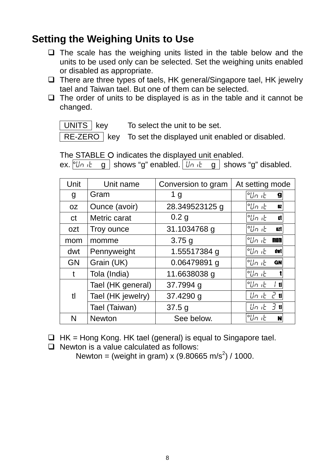## **Setting the Weighing Units to Use**

- $\Box$  The scale has the weighing units listed in the table below and the units to be used only can be selected. Set the weighing units enabled or disabled as appropriate.
- $\Box$  There are three types of taels, HK general/Singapore tael, HK jewelry tael and Taiwan tael. But one of them can be selected.
- $\Box$  The order of units to be displayed is as in the table and it cannot be changed.

 $\overline{UNITS}$  | key To select the unit to be set.

RE-ZERO key To set the displayed unit enabled or disabled.

The STABLE O indicates the displayed unit enabled. ex.  $\begin{bmatrix} 0 & \mu & \mu \\ 0 & \mu & \mu \end{bmatrix}$  shows "g" enabled.  $\begin{bmatrix} \mu & \mu & \mu \\ \mu & \mu & \mu \end{bmatrix}$  shows "g" disabled.

| Unit      | Unit name         | Conversion to gram | At setting mode              |
|-----------|-------------------|--------------------|------------------------------|
| g         | Gram              | 1 <sub>g</sub>     | °Un it<br>$\mathbf{g}$       |
| <b>OZ</b> | Ounce (avoir)     | 28.349523125 g     | °Un it<br>DZ.                |
| ct        | Metric carat      | 0.2 <sub>g</sub>   | °Un it<br>CŤ.                |
| ozt       | Troy ounce        | 31.1034768 g       | °Un it<br>021                |
| mom       | momme             | 3.75g              | °Un it<br>mom                |
| dwt       | Pennyweight       | 1.55517384 g       | °Un it<br>dwt                |
| <b>GN</b> | Grain (UK)        | 0.06479891 g       | °Un it<br><b>GN</b>          |
| t         | Tola (India)      | 11.6638038 g       | °Un it                       |
|           | Tael (HK general) | 37.7994 g          | °Un it<br>t                  |
| tl        | Tael (HK jewelry) | 37.4290 g          | <i>せった 2</i> ॥               |
|           | Tael (Taiwan)     | 37.5g              | $\lfloor \ln  E  \rfloor$ tl |
| N         | <b>Newton</b>     | See below.         | °Un ıE<br>N                  |

 $\Box$  HK = Hong Kong. HK tael (general) is equal to Singapore tael.

 $\Box$  Newton is a value calculated as follows:

Newton = (weight in gram) x (9.80665 m/s<sup>2</sup>) / 1000.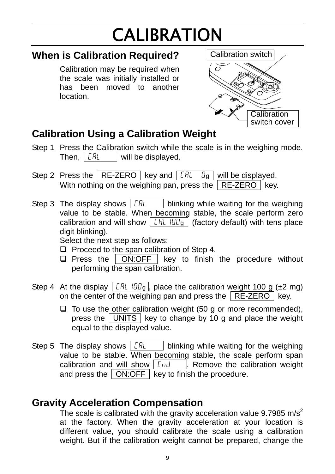# CALIBRATION

### **When is Calibration Required?**

Calibration may be required when the scale was initially installed or has been moved to another location.



## **Calibration Using a Calibration Weight**

- Step 1 Press the Calibration switch while the scale is in the weighing mode. Then,  $|CHL|$  will be displayed.
- Step 2 Press the RE-ZERO key and  $\sqrt{aR}$   $\sqrt{a}$  will be displayed. With nothing on the weighing pan, press the  $\sqrt{RE-ZERO}$  key.
- Step 3 The display shows  $\boxed{[F_l]}$  blinking while waiting for the weighing value to be stable. When becoming stable, the scale perform zero calibration and will show  $\sqrt{CHL/IIIg}$  (factory default) with tens place digit blinking).

Select the next step as follows:

- $\Box$  Proceed to the span calibration of Step 4.
- $\Box$  Press the  $\Box$  ON:OFF key to finish the procedure without performing the span calibration.
- Step 4 At the display  $\vert$  CRL IDD<sub>g</sub>  $\vert$ , place the calibration weight 100 g ( $\pm$ 2 mg) on the center of the weighing pan and press the  $\sqrt{RE-ZERO}$  key.
	- $\Box$  To use the other calibration weight (50 g or more recommended), press the  $\boxed{\overline{UNITS}}$  key to change by 10 g and place the weight equal to the displayed value.
- Step 5 The display shows  $\vert$  CRL  $\vert$  blinking while waiting for the weighing value to be stable. When becoming stable, the scale perform span calibration and will show  $\left| \epsilon_{\text{nd}} \right|$  . Remove the calibration weight and press the  $\sqrt{ON:OFF}$  key to finish the procedure.

## **Gravity Acceleration Compensation**

The scale is calibrated with the gravity acceleration value 9.7985 m/s<sup>2</sup> at the factory. When the gravity acceleration at your location is different value, you should calibrate the scale using a calibration weight. But if the calibration weight cannot be prepared, change the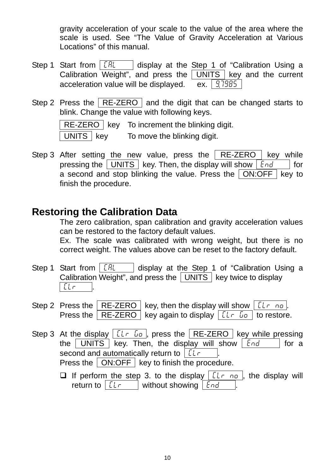gravity acceleration of your scale to the value of the area where the scale is used. See "The Value of Gravity Acceleration at Various Locations" of this manual.

- Step 1 Start from  $\sqrt{CHL}$  display at the Step 1 of "Calibration Using a Calibration Weight", and press the  $\boxed{\overline{UNITS}}$  key and the current acceleration value will be displayed.  $\overline{ex.} \left[ \frac{9.7985}{5} \right]$
- Step 2 Press the  $\sqrt{RE-ZERO}$  and the digit that can be changed starts to blink. Change the value with following keys.

RE-ZERO key To increment the blinking digit.

 $UNITS \mid key$  To move the blinking digit.

Step 3 After setting the new value, press the  $R$  RE-ZERO key while pressing the  $\sqrt{\text{UNITS}}$  key. Then, the display will show  $\boxed{\text{End}}$  for a second and stop blinking the value. Press the  $\sqrt{ON:OFF}$  key to finish the procedure.

### **Restoring the Calibration Data**

The zero calibration, span calibration and gravity acceleration values can be restored to the factory default values.

Ex. The scale was calibrated with wrong weight, but there is no correct weight. The values above can be reset to the factory default.

- Step 1 Start from  $\vert$  CRL  $\vert$  display at the Step 1 of "Calibration Using a Calibration Weight", and press the  $\sqrt{\text{UNITS}}$  key twice to display  $LLr$
- Step 2 Press the RE-ZERO key, then the display will show  $|L_1 \cap L_2|$ . Press the  $\sqrt{RE-ZERO}$  key again to display  $\sqrt{LL}$   $\sqrt{L}$  to restore.
- Step 3 At the display  $\lceil \ell \rceil$   $\lceil \frac{1}{2} \rceil$  gives the  $\lceil \frac{1}{2} \rceil$  RE-ZERO key while pressing the UNITS key. Then, the display will show  $\boxed{End}$  for a second and automatically return to  $|$  [L $\cdot$ Press the  $\boxed{\text{ON:OFF}}$  key to finish the procedure.
	- **If perform the step 3. to the display**  $\boxed{L n\omega}$ , the display will return to  $\lceil \ell \cdot \rceil$  without showing  $\lceil \ell \cdot \rceil$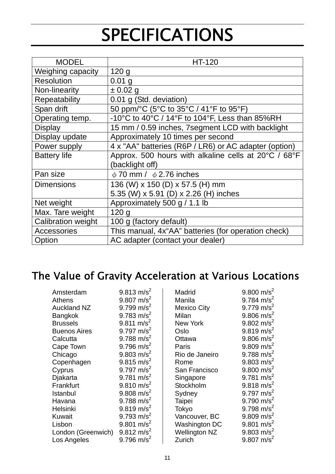# **SPECIFICATIONS**

| <b>MODEL</b>        | HT-120                                                |
|---------------------|-------------------------------------------------------|
| Weighing capacity   | 120 <sub>g</sub>                                      |
| <b>Resolution</b>   | $0.01$ g                                              |
| Non-linearity       | ± 0.02 g                                              |
| Repeatability       | 0.01 g (Std. deviation)                               |
| Span drift          | 50 ppm/°C (5°C to 35°C / 41°F to 95°F)                |
| Operating temp.     | -10°C to 40°C / 14°F to 104°F, Less than 85%RH        |
| <b>Display</b>      | 15 mm / 0.59 inches, 7segment LCD with backlight      |
| Display update      | Approximately 10 times per second                     |
| Power supply        | 4 x "AA" batteries (R6P / LR6) or AC adapter (option) |
| <b>Battery life</b> | Approx. 500 hours with alkaline cells at 20°C / 68°F  |
|                     | (backlight off)                                       |
| Pan size            | $\phi$ 70 mm / $\phi$ 2.76 inches                     |
| <b>Dimensions</b>   | 136 (W) x 150 (D) x 57.5 (H) mm                       |
|                     | 5.35 (W) x 5.91 (D) x 2.26 (H) inches                 |
| Net weight          | Approximately 500 g / 1.1 lb                          |
| Max. Tare weight    | 120q                                                  |
| Calibration weight  | 100 g (factory default)                               |
| <b>Accessories</b>  | This manual, 4x"AA" batteries (for operation check)   |
| Option              | AC adapter (contact your dealer)                      |

## The Value of Gravity Acceleration at Various Locations

| Amsterdam           | $9.813 \text{ m/s}^2$  | Madrid               | 9.800 m/s <sup>2</sup>   |
|---------------------|------------------------|----------------------|--------------------------|
| <b>Athens</b>       | 9.807 m/s <sup>2</sup> | Manila               | 9.784 m/s <sup>2</sup>   |
| <b>Auckland NZ</b>  | 9.799 m/s <sup>2</sup> | Mexico City          | $9.779$ m/s <sup>2</sup> |
| <b>Bangkok</b>      | 9.783 m/s <sup>2</sup> | Milan                | 9.806 m/s <sup>2</sup>   |
| <b>Brussels</b>     | $9.811 \text{ m/s}^2$  | New York             | $9.802 \text{ m/s}^2$    |
| <b>Buenos Aires</b> | 9.797 $m/s^2$          | Oslo                 | $9.819 \text{ m/s}^2$    |
| Calcutta            | 9.788 m/s <sup>2</sup> | Ottawa               | $9.806$ m/s <sup>2</sup> |
| Cape Town           | 9.796 m/s <sup>2</sup> | Paris                | 9.809 m/s <sup>2</sup>   |
| Chicago             | 9.803 m/s <sup>2</sup> | Rio de Janeiro       | 9.788 m/s <sup>2</sup>   |
| Copenhagen          | $9.815 \text{ m/s}^2$  | Rome                 | 9.803 m/s <sup>2</sup>   |
| Cyprus              | 9.797 $m/s^2$          | San Francisco        | $9.800 \text{ m/s}^2$    |
| Djakarta            | 9.781 m/s <sup>2</sup> | Singapore            | 9.781 m/s <sup>2</sup>   |
| Frankfurt           | $9.810 \text{ m/s}^2$  | Stockholm            | $9.818 \text{ m/s}^2$    |
| Istanbul            | 9.808 m/s <sup>2</sup> | Sydney               | 9.797 $m/s^2$            |
| Havana              | 9.788 m/s <sup>2</sup> | Taipei               | 9.790 m/s <sup>2</sup>   |
| Helsinki            | $9.819 \text{ m/s}^2$  | Tokyo                | 9.798 m/s <sup>2</sup>   |
| <b>Kuwait</b>       | 9.793 m/s <sup>2</sup> | Vancouver, BC        | $9.809$ m/s <sup>2</sup> |
| Lisbon              | 9.801 m/s <sup>2</sup> | Washington DC        | 9.801 m/s <sup>2</sup>   |
| London (Greenwich)  | $9.812 \text{ m/s}^2$  | <b>Wellington NZ</b> | $9.803 \text{ m/s}^2$    |
| Los Angeles         | 9.796 m/s <sup>2</sup> | Zurich               | $9.807$ m/s <sup>2</sup> |